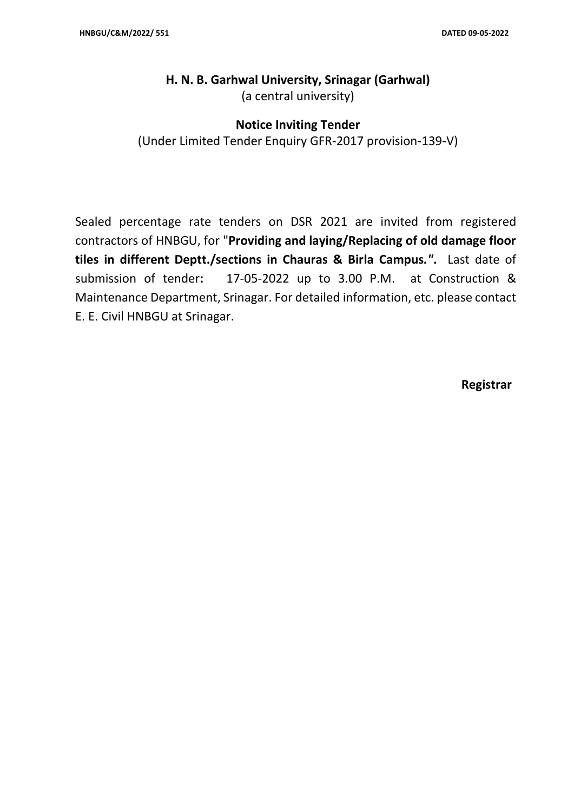# **H. N. B. Garhwal University, Srinagar (Garhwal)** (a central university)

### **Notice Inviting Tender**

(Under Limited Tender Enquiry GFR-2017 provision-139-V)

Sealed percentage rate tenders on DSR 2021 are invited from registered contractors of HNBGU, for "**Providing and laying/Replacing of old damage floor tiles in different Deptt./sections in Chauras & Birla Campus***."***.** Last date of submission of tender**:** 17-05-2022 up to 3.00 P.M. at Construction & Maintenance Department, Srinagar. For detailed information, etc. please contact E. E. Civil HNBGU at Srinagar.

**Registrar**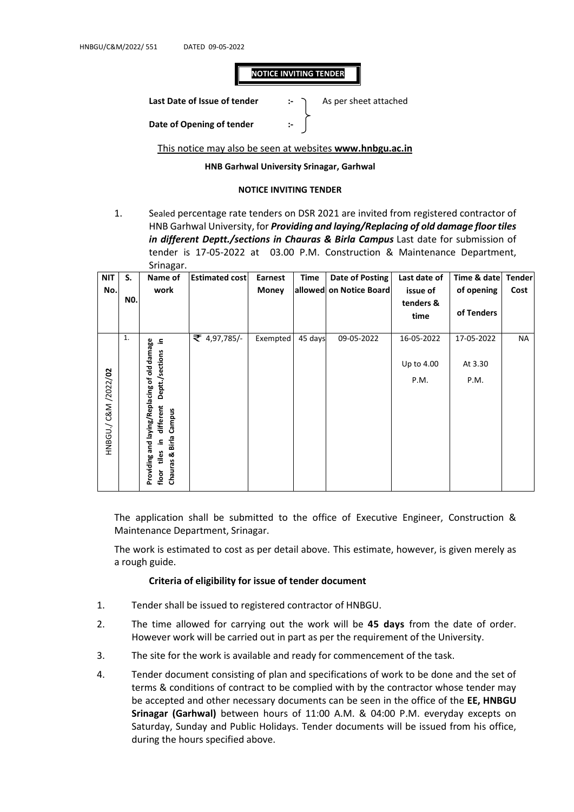#### **NOTICE INVITING TENDER**

Last Date of Issue of tender **:-**  $\rightarrow$  As per sheet attached

**Date of Opening of tender** 

This notice may also be seen at websites **www.hnbgu.ac.in**

**HNB Garhwal University Srinagar, Garhwal** 

#### **NOTICE INVITING TENDER**

1. Sealed percentage rate tenders on DSR 2021 are invited from registered contractor of HNB Garhwal University, for *Providing and laying/Replacing of old damage floor tiles in different Deptt./sections in Chauras & Birla Campus* Last date for submission of tender is 17-05-2022 at 03.00 P.M. Construction & Maintenance Department, Srinagar.

| <b>NIT</b>                   | S.  | Name of                                                                                                                                       | <b>Estimated cost</b> | Earnest      | <b>Time</b> | <b>Date of Posting</b>  | Last date of                     | Time & date                   | <b>Tender</b> |
|------------------------------|-----|-----------------------------------------------------------------------------------------------------------------------------------------------|-----------------------|--------------|-------------|-------------------------|----------------------------------|-------------------------------|---------------|
| No.                          | NO. | work                                                                                                                                          |                       | <b>Money</b> |             | allowed on Notice Board | issue of                         | of opening                    | Cost          |
|                              |     |                                                                                                                                               |                       |              |             |                         | tenders &<br>time                | of Tenders                    |               |
| HNBGU./ C&M /2022/ <b>02</b> | 1.  | damage<br>르.<br>Deptt./sections<br>Providing and laying/Replacing of old<br>different<br>Campus<br>& Birla<br>요.<br>tiles<br>Chauras<br>floor | ₹ 4,97,785/-          | Exempted     | 45 days     | 09-05-2022              | 16-05-2022<br>Up to 4.00<br>P.M. | 17-05-2022<br>At 3.30<br>P.M. | NA            |

The application shall be submitted to the office of Executive Engineer, Construction & Maintenance Department, Srinagar.

The work is estimated to cost as per detail above. This estimate, however, is given merely as a rough guide.

#### **Criteria of eligibility for issue of tender document**

- 1. Tender shall be issued to registered contractor of HNBGU.
- 2. The time allowed for carrying out the work will be **45 days** from the date of order. However work will be carried out in part as per the requirement of the University.
- 3. The site for the work is available and ready for commencement of the task.
- 4. Tender document consisting of plan and specifications of work to be done and the set of terms & conditions of contract to be complied with by the contractor whose tender may be accepted and other necessary documents can be seen in the office of the **EE, HNBGU Srinagar (Garhwal)** between hours of 11:00 A.M. & 04:00 P.M. everyday excepts on Saturday, Sunday and Public Holidays. Tender documents will be issued from his office, during the hours specified above.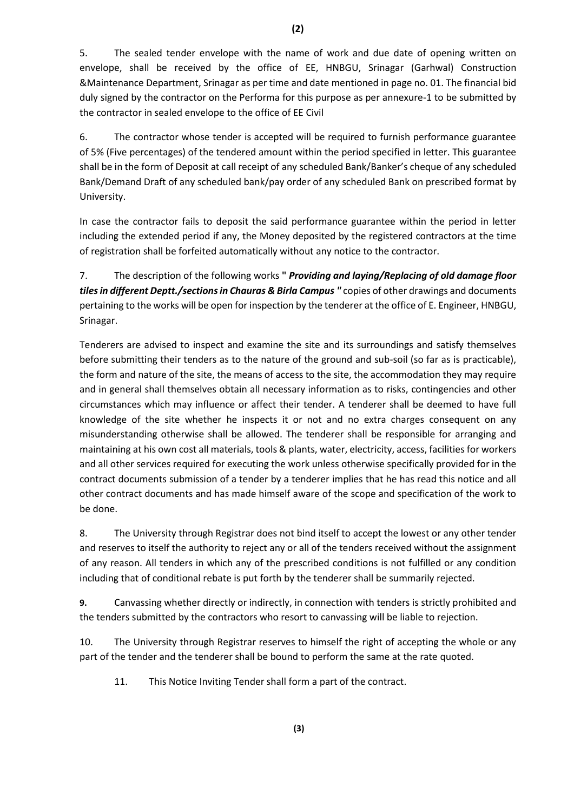5. The sealed tender envelope with the name of work and due date of opening written on envelope, shall be received by the office of EE, HNBGU, Srinagar (Garhwal) Construction &Maintenance Department, Srinagar as per time and date mentioned in page no. 01. The financial bid duly signed by the contractor on the Performa for this purpose as per annexure-1 to be submitted by the contractor in sealed envelope to the office of EE Civil

6. The contractor whose tender is accepted will be required to furnish performance guarantee of 5% (Five percentages) of the tendered amount within the period specified in letter. This guarantee shall be in the form of Deposit at call receipt of any scheduled Bank/Banker's cheque of any scheduled Bank/Demand Draft of any scheduled bank/pay order of any scheduled Bank on prescribed format by University.

In case the contractor fails to deposit the said performance guarantee within the period in letter including the extended period if any, the Money deposited by the registered contractors at the time of registration shall be forfeited automatically without any notice to the contractor.

7. The description of the following works **"** *Providing and laying/Replacing of old damage floor tiles in different Deptt./sections in Chauras & Birla Campus "* copies of other drawings and documents pertaining to the works will be open for inspection by the tenderer at the office of E. Engineer, HNBGU, Srinagar.

Tenderers are advised to inspect and examine the site and its surroundings and satisfy themselves before submitting their tenders as to the nature of the ground and sub-soil (so far as is practicable), the form and nature of the site, the means of access to the site, the accommodation they may require and in general shall themselves obtain all necessary information as to risks, contingencies and other circumstances which may influence or affect their tender. A tenderer shall be deemed to have full knowledge of the site whether he inspects it or not and no extra charges consequent on any misunderstanding otherwise shall be allowed. The tenderer shall be responsible for arranging and maintaining at his own cost all materials, tools & plants, water, electricity, access, facilities for workers and all other services required for executing the work unless otherwise specifically provided for in the contract documents submission of a tender by a tenderer implies that he has read this notice and all other contract documents and has made himself aware of the scope and specification of the work to be done.

8. The University through Registrar does not bind itself to accept the lowest or any other tender and reserves to itself the authority to reject any or all of the tenders received without the assignment of any reason. All tenders in which any of the prescribed conditions is not fulfilled or any condition including that of conditional rebate is put forth by the tenderer shall be summarily rejected.

**9.** Canvassing whether directly or indirectly, in connection with tenders is strictly prohibited and the tenders submitted by the contractors who resort to canvassing will be liable to rejection.

10. The University through Registrar reserves to himself the right of accepting the whole or any part of the tender and the tenderer shall be bound to perform the same at the rate quoted.

11. This Notice Inviting Tender shall form a part of the contract.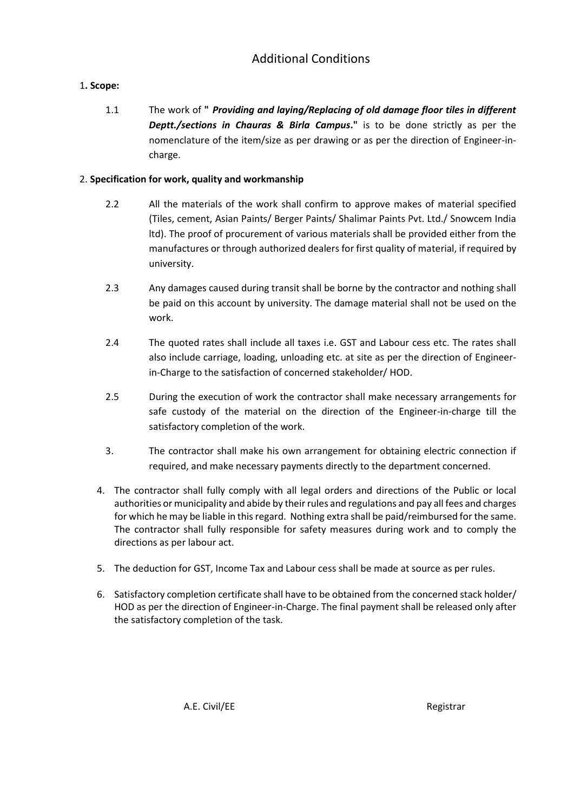## 1**. Scope:**

1.1 The work of **"** *Providing and laying/Replacing of old damage floor tiles in different Deptt./sections in Chauras & Birla Campus***."** is to be done strictly as per the nomenclature of the item/size as per drawing or as per the direction of Engineer-incharge.

### 2. **Specification for work, quality and workmanship**

- 2.2 All the materials of the work shall confirm to approve makes of material specified (Tiles, cement, Asian Paints/ Berger Paints/ Shalimar Paints Pvt. Ltd./ Snowcem India ltd). The proof of procurement of various materials shall be provided either from the manufactures or through authorized dealers for first quality of material, if required by university.
- 2.3 Any damages caused during transit shall be borne by the contractor and nothing shall be paid on this account by university. The damage material shall not be used on the work.
- 2.4 The quoted rates shall include all taxes i.e. GST and Labour cess etc. The rates shall also include carriage, loading, unloading etc. at site as per the direction of Engineerin-Charge to the satisfaction of concerned stakeholder/ HOD.
- 2.5 During the execution of work the contractor shall make necessary arrangements for safe custody of the material on the direction of the Engineer-in-charge till the satisfactory completion of the work.
- 3. The contractor shall make his own arrangement for obtaining electric connection if required, and make necessary payments directly to the department concerned.
- 4. The contractor shall fully comply with all legal orders and directions of the Public or local authorities or municipality and abide by their rules and regulations and pay all fees and charges for which he may be liable in this regard. Nothing extra shall be paid/reimbursed for the same. The contractor shall fully responsible for safety measures during work and to comply the directions as per labour act.
- 5. The deduction for GST, Income Tax and Labour cess shall be made at source as per rules.
- 6. Satisfactory completion certificate shall have to be obtained from the concerned stack holder/ HOD as per the direction of Engineer-in-Charge. The final payment shall be released only after the satisfactory completion of the task.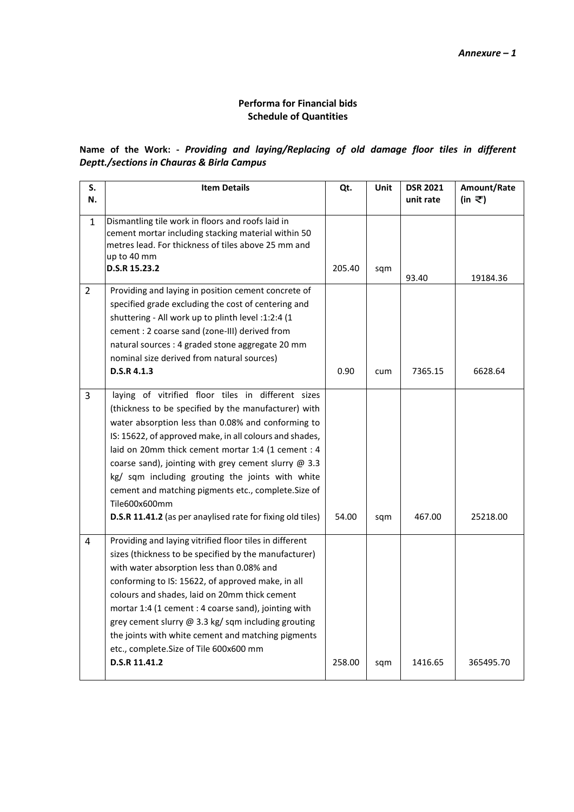### **Performa for Financial bids Schedule of Quantities**

## **Name of the Work: -** *Providing and laying/Replacing of old damage floor tiles in different Deptt./sections in Chauras & Birla Campus*

| S.<br>N.       | <b>Item Details</b>                                                                                      | Qt.    | Unit | <b>DSR 2021</b><br>unit rate | Amount/Rate<br>(in ₹) |
|----------------|----------------------------------------------------------------------------------------------------------|--------|------|------------------------------|-----------------------|
|                |                                                                                                          |        |      |                              |                       |
| $\mathbf{1}$   | Dismantling tile work in floors and roofs laid in<br>cement mortar including stacking material within 50 |        |      |                              |                       |
|                | metres lead. For thickness of tiles above 25 mm and<br>up to 40 mm                                       |        |      |                              |                       |
|                | D.S.R 15.23.2                                                                                            | 205.40 | sqm  | 93.40                        | 19184.36              |
| $\overline{2}$ | Providing and laying in position cement concrete of                                                      |        |      |                              |                       |
|                | specified grade excluding the cost of centering and                                                      |        |      |                              |                       |
|                | shuttering - All work up to plinth level :1:2:4 (1                                                       |        |      |                              |                       |
|                | cement : 2 coarse sand (zone-III) derived from                                                           |        |      |                              |                       |
|                | natural sources : 4 graded stone aggregate 20 mm                                                         |        |      |                              |                       |
|                | nominal size derived from natural sources)                                                               |        |      |                              |                       |
|                | D.S.R 4.1.3                                                                                              | 0.90   | cum  | 7365.15                      | 6628.64               |
| $\overline{3}$ | laying of vitrified floor tiles in different sizes                                                       |        |      |                              |                       |
|                | (thickness to be specified by the manufacturer) with                                                     |        |      |                              |                       |
|                | water absorption less than 0.08% and conforming to                                                       |        |      |                              |                       |
|                | IS: 15622, of approved make, in all colours and shades,                                                  |        |      |                              |                       |
|                | laid on 20mm thick cement mortar 1:4 (1 cement : 4                                                       |        |      |                              |                       |
|                | coarse sand), jointing with grey cement slurry @ 3.3                                                     |        |      |                              |                       |
|                | kg/ sqm including grouting the joints with white                                                         |        |      |                              |                       |
|                | cement and matching pigments etc., complete. Size of                                                     |        |      |                              |                       |
|                | Tile600x600mm                                                                                            |        |      |                              |                       |
|                | D.S.R 11.41.2 (as per anaylised rate for fixing old tiles)                                               | 54.00  | sqm  | 467.00                       | 25218.00              |
| 4              | Providing and laying vitrified floor tiles in different                                                  |        |      |                              |                       |
|                | sizes (thickness to be specified by the manufacturer)                                                    |        |      |                              |                       |
|                | with water absorption less than 0.08% and                                                                |        |      |                              |                       |
|                | conforming to IS: 15622, of approved make, in all                                                        |        |      |                              |                       |
|                | colours and shades, laid on 20mm thick cement                                                            |        |      |                              |                       |
|                | mortar 1:4 (1 cement : 4 coarse sand), jointing with                                                     |        |      |                              |                       |
|                | grey cement slurry @ 3.3 kg/ sqm including grouting                                                      |        |      |                              |                       |
|                | the joints with white cement and matching pigments                                                       |        |      |                              |                       |
|                | etc., complete.Size of Tile 600x600 mm                                                                   |        |      |                              |                       |
|                | D.S.R 11.41.2                                                                                            | 258.00 | sqm  | 1416.65                      | 365495.70             |